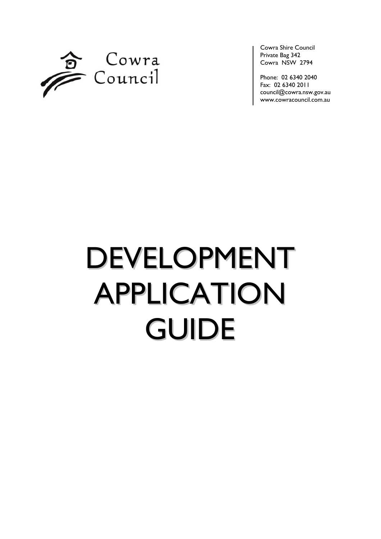

Cowra Shire Council Private Bag 342 Cowra NSW 2794

Phone: 02 6340 2040 Fax: 02 6340 2011 [council@cowra.nsw.gov.au](mailto:council@cowra.nsw.gov.au) [www.cowracouncil.com.au](http://www.cowraregion.com.au/)

# DEVELOPMENT APPLICATION GUIDE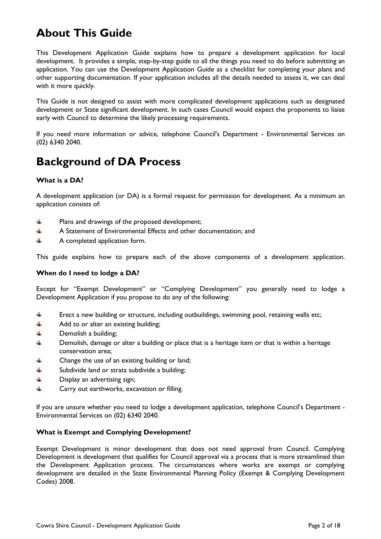## **About This Guide**

This Development Application Guide explains how to prepare a development application for local development. It provides a simple, step-by-step guide to all the things you need to do before submitting an application. You can use the Development Application Guide as a checklist for completing your plans and other supporting documentation. If your application includes all the details needed to assess it, we can deal with it more quickly.

This Guide is not designed to assist with more complicated development applications such as designated development or State significant development. In such cases Council would expect the proponents to liaise early with Council to determine the likely processing requirements.

If you need more information or advice, telephone Council's Department - Environmental Services on (02) 6340 2040.

## **Background of DA Process**

#### **What is a DA?**

A development application (or DA) is a formal request for permission for development. As a minimum an application consists of:

- d. Plans and drawings of the proposed development;
- ÷ A Statement of Environmental Effects and other documentation; and
- 4 A completed application form.

This guide explains how to prepare each of the above components of a development application.

#### **When do I need to lodge a DA?**

Except for "Exempt Development" or "Complying Development" you generally need to lodge a Development Application if you propose to do any of the following:

- ÷ Erect a new building or structure, including outbuildings, swimming pool, retaining walls etc;
- ÷ Add to or alter an existing building;
- d. Demolish a building;
- 4 Demolish, damage or alter a building or place that is a heritage item or that is within a heritage conservation area;
- 4 Change the use of an existing building or land;
- d. Subdivide land or strata subdivide a building;
- ÷ Display an advertising sign;
- d. Carry out earthworks, excavation or filling.

If you are unsure whether you need to lodge a development application, telephone Council's Department - Environmental Services on (02) 6340 2040.

#### **What is Exempt and Complying Development?**

Exempt Development is minor development that does not need approval from Council. Complying Development is development that qualifies for Council approval via a process that is more streamlined than the Development Application process. The circumstances where works are exempt or complying development are detailed in the State Environmental Planning Policy (Exempt & Complying Development Codes) 2008.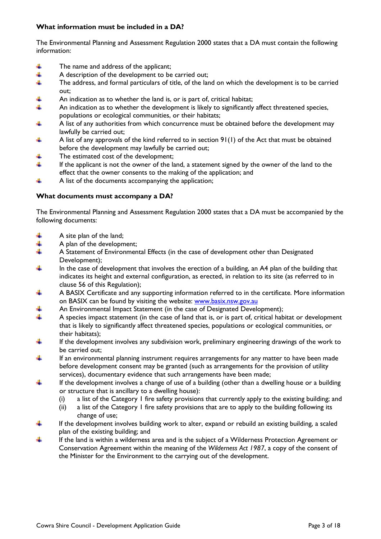#### **What information must be included in a DA?**

The Environmental Planning and Assessment Regulation 2000 states that a DA must contain the following information:

- ÷ The name and address of the applicant;
- ÷ A description of the development to be carried out;
- d. The address, and formal particulars of title, of the land on which the development is to be carried out;
- ÷ An indication as to whether the land is, or is part of, critical habitat;
- ÷ An indication as to whether the development is likely to significantly affect threatened species, populations or ecological communities, or their habitats;
- A list of any authorities from which concurrence must be obtained before the development may 4 lawfully be carried out;
- A list of any approvals of the kind referred to in section 91(1) of the Act that must be obtained d. before the development may lawfully be carried out;
- The estimated cost of the development; 4
- 4 If the applicant is not the owner of the land, a statement signed by the owner of the land to the effect that the owner consents to the making of the application; and
- d. A list of the documents accompanying the application;

#### **What documents must accompany a DA?**

The Environmental Planning and Assessment Regulation 2000 states that a DA must be accompanied by the following documents:

- 4 A site plan of the land;
- 4 A plan of the development;
- d. A Statement of Environmental Effects (in the case of development other than Designated Development);
- d. In the case of development that involves the erection of a building, an A4 plan of the building that indicates its height and external configuration, as erected, in relation to its site (as referred to in clause 56 of this Regulation);
- 4 A BASIX Certificate and any supporting information referred to in the certificate. More information on BASIX can be found by visiting the website: [www.basix.nsw.gov.au](http://www.basix.nsw.gov.au/)
- d. An Environmental Impact Statement (in the case of Designated Development);
- d. A species impact statement (in the case of land that is, or is part of, critical habitat or development that is likely to significantly affect threatened species, populations or ecological communities, or their habitats);
- d. If the development involves any subdivision work, preliminary engineering drawings of the work to be carried out;
- d. If an environmental planning instrument requires arrangements for any matter to have been made before development consent may be granted (such as arrangements for the provision of utility services), documentary evidence that such arrangements have been made;
- 4 If the development involves a change of use of a building (other than a dwelling house or a building or structure that is ancillary to a dwelling house):
	- (i) a list of the Category 1 fire safety provisions that currently apply to the existing building; and
	- (ii) a list of the Category 1 fire safety provisions that are to apply to the building following its change of use;
- 4 If the development involves building work to alter, expand or rebuild an existing building, a scaled plan of the existing building; and
- d. If the land is within a wilderness area and is the subject of a Wilderness Protection Agreement or Conservation Agreement within the meaning of the *Wilderness Act 1987*, a copy of the consent of the Minister for the Environment to the carrying out of the development.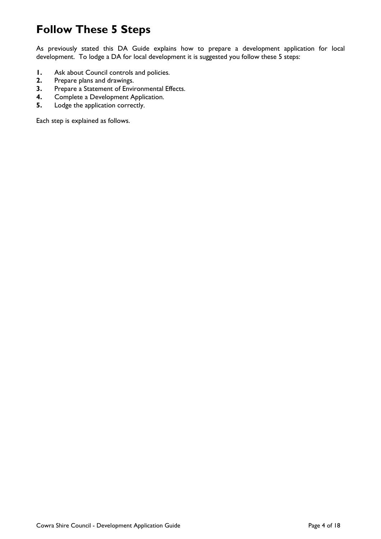## **Follow These 5 Steps**

As previously stated this DA Guide explains how to prepare a development application for local development. To lodge a DA for local development it is suggested you follow these 5 steps:

- **1.** Ask about Council controls and policies.<br>**2.** Prepare plans and drawings.
- **2.** Prepare plans and drawings.<br>**3.** Prepare a Statement of Envir
- **3.** Prepare a Statement of Environmental Effects.<br>**4.** Complete a Development Application.
- **4.** Complete a Development Application.<br>**5.** Lodge the application correctly.
- **5.** Lodge the application correctly.

Each step is explained as follows.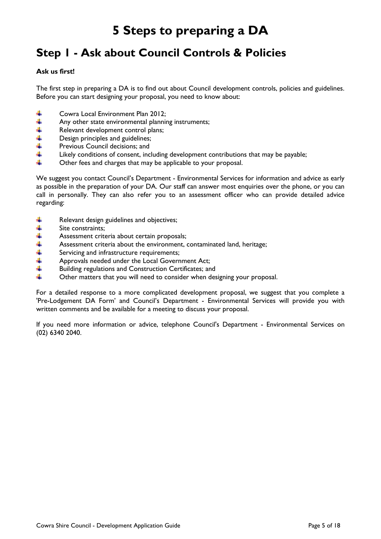# **5 Steps to preparing a DA**

## **Step 1 - Ask about Council Controls & Policies**

#### **Ask us first!**

The first step in preparing a DA is to find out about Council development controls, policies and guidelines. Before you can start designing your proposal, you need to know about:

- ₩ Cowra Local Environment Plan 2012;
- 4 Any other state environmental planning instruments;
- Relevant development control plans;
- 半半半 Design principles and guidelines;
- Previous Council decisions; and
- 4 Likely conditions of consent, including development contributions that may be payable;
- d. Other fees and charges that may be applicable to your proposal.

We suggest you contact Council's Department - Environmental Services for information and advice as early as possible in the preparation of your DA. Our staff can answer most enquiries over the phone, or you can call in personally. They can also refer you to an assessment officer who can provide detailed advice regarding:

- 4 Relevant design guidelines and objectives;
- 4 Site constraints;
- +++ Assessment criteria about certain proposals;
- Assessment criteria about the environment, contaminated land, heritage;
- Servicing and infrastructure requirements;
- Approvals needed under the Local Government Act;
- $\ddot{}$ Building regulations and Construction Certificates; and
- d. Other matters that you will need to consider when designing your proposal.

For a detailed response to a more complicated development proposal, we suggest that you complete a 'Pre-Lodgement DA Form' and Council's Department - Environmental Services will provide you with written comments and be available for a meeting to discuss your proposal.

If you need more information or advice, telephone Council's Department - Environmental Services on (02) 6340 2040.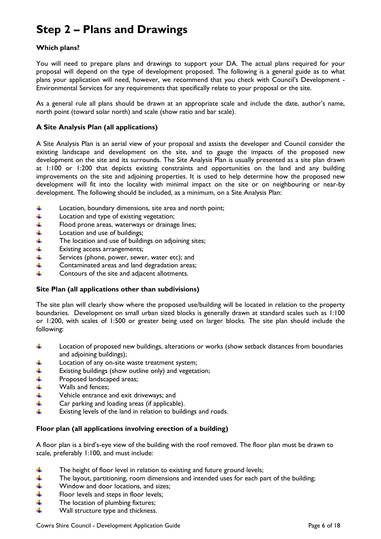## **Step 2 – Plans and Drawings**

#### **Which plans?**

You will need to prepare plans and drawings to support your DA. The actual plans required for your proposal will depend on the type of development proposed. The following is a general guide as to what plans your application will need, however, we recommend that you check with Council's Development - Environmental Services for any requirements that specifically relate to your proposal or the site.

As a general rule all plans should be drawn at an appropriate scale and include the date, author's name, north point (toward solar north) and scale (show ratio and bar scale).

#### **A Site Analysis Plan (all applications)**

A Site Analysis Plan is an aerial view of your proposal and assists the developer and Council consider the existing landscape and development on the site, and to gauge the impacts of the proposed new development on the site and its surrounds. The Site Analysis Plan is usually presented as a site plan drawn at 1:100 or 1:200 that depicts existing constraints and opportunities on the land and any building improvements on the site and adjoining properties. It is used to help determine how the proposed new development will fit into the locality with minimal impact on the site or on neighbouring or near-by development. The following should be included, as a minimum, on a Site Analysis Plan:

- ÷ Location, boundary dimensions, site area and north point;
- 4 Location and type of existing vegetation;
- Flood prone areas, waterways or drainage lines;
- Location and use of buildings;
- The location and use of buildings on adjoining sites;
- \*\*\*\*\* Existing access arrangements;
- Services (phone, power, sewer, water etc); and
- 4 Contaminated areas and land degradation areas;
- d. Contours of the site and adjacent allotments.

#### **Site Plan (all applications other than subdivisions)**

The site plan will clearly show where the proposed use/building will be located in relation to the property boundaries. Development on small urban sized blocks is generally drawn at standard scales such as 1:100 or 1:200, with scales of 1:500 or greater being used on larger blocks. The site plan should include the following:

- d. Location of proposed new buildings, alterations or works (show setback distances from boundaries and adjoining buildings);
- 4 Location of any on-site waste treatment system;
- 4 Existing buildings (show outline only) and vegetation;
- $\frac{1}{2}$ Proposed landscaped areas;
- Walls and fences;
- Vehicle entrance and exit driveways; and
- 4 Car parking and loading areas (if applicable).
- d. Existing levels of the land in relation to buildings and roads.

#### **Floor plan (all applications involving erection of a building)**

A floor plan is a bird's-eye view of the building with the roof removed. The floor plan must be drawn to scale, preferably 1:100, and must include:

- ÷ The height of floor level in relation to existing and future ground levels;
- $+ +$ The layout, partitioning, room dimensions and intended uses for each part of the building;
- Window and door locations, and sizes;
- 4 Floor levels and steps in floor levels;
- 4 The location of plumbing fixtures;
- d. Wall structure type and thickness.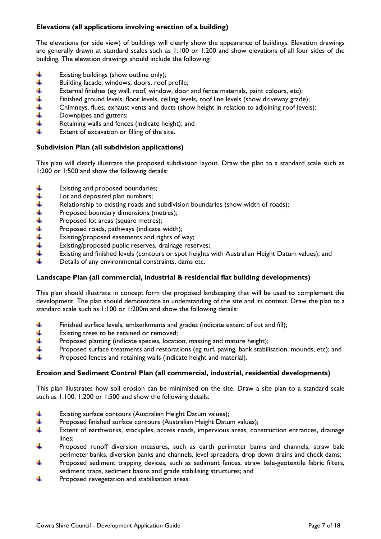#### **Elevations (all applications involving erection of a building)**

The elevations (or side view) of buildings will clearly show the appearance of buildings. Elevation drawings are generally drawn at standard scales such as 1:100 or 1:200 and show elevations of all four sides of the building. The elevation drawings should include the following:

- Existing buildings (show outline only); ÷
- \*\*\*\*\* Building facade, windows, doors, roof profile;
- External finishes (eg wall, roof, window, door and fence materials, paint colours, etc);
- Finished ground levels, floor levels, ceiling levels, roof line levels (show driveway grade);
- Chimneys, flues, exhaust vents and ducts (show height in relation to adjoining roof levels);
- Downpipes and gutters;
- 4 Retaining walls and fences (indicate height); and
- d. Extent of excavation or filling of the site.

#### **Subdivision Plan (all subdivision applications)**

This plan will clearly illustrate the proposed subdivision layout. Draw the plan to a standard scale such as 1:200 or 1:500 and show the following details:

- ₩ Existing and proposed boundaries;
- 4 Lot and deposited plan numbers;
- \*\*\*\*\*\* Relationship to existing roads and subdivision boundaries (show width of roads);
- Proposed boundary dimensions (metres);
- Proposed lot areas (square metres);
- Proposed roads, pathways (indicate width);
- Existing/proposed easements and rights of way;
- Existing/proposed public reserves, drainage reserves;
- 4 Existing and finished levels (contours or spot heights with Australian Height Datum values); and
- 4 Details of any environmental constraints, dams etc.

#### **Landscape Plan (all commercial, industrial & residential flat building developments)**

This plan should illustrate in concept form the proposed landscaping that will be used to complement the development. The plan should demonstrate an understanding of the site and its context. Draw the plan to a standard scale such as 1:100 or 1:200m and show the following details:

- ÷ Finished surface levels, embankments and grades (indicate extent of cut and fill);
- 4 Existing trees to be retained or removed;
- 4 Proposed planting (indicate species, location, massing and mature height);
- 4 Proposed surface treatments and restorations (eg turf, paving, bank stabilisation, mounds, etc); and
- d. Proposed fences and retaining walls (indicate height and material).

#### **Erosion and Sediment Control Plan (all commercial, industrial, residential developments)**

This plan illustrates how soil erosion can be minimised on the site. Draw a site plan to a standard scale such as 1:100, 1:200 or 1:500 and show the following details:

- ÷ Existing surface contours (Australian Height Datum values);
- 4 Proposed finished surface contours (Australian Height Datum values);
- 4 Extent of earthworks, stockpiles, access roads, impervious areas, construction entrances, drainage lines;
- 4 Proposed runoff diversion measures, such as earth perimeter banks and channels, straw bale perimeter banks, diversion banks and channels, level spreaders, drop down drains and check dams;
- 4 Proposed sediment trapping devices, such as sediment fences, straw bale-geotextile fabric filters, sediment traps, sediment basins and grade stabilising structures; and
- 4 Proposed revegetation and stabilisation areas.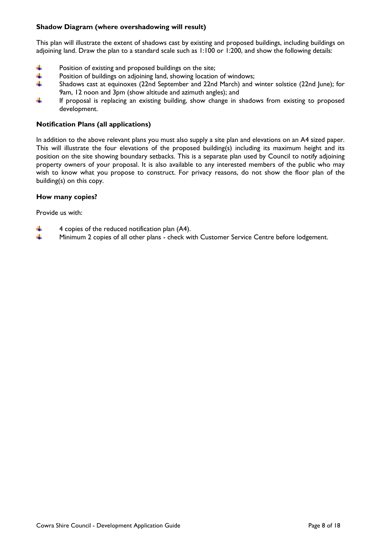#### **Shadow Diagram (where overshadowing will result)**

This plan will illustrate the extent of shadows cast by existing and proposed buildings, including buildings on adjoining land. Draw the plan to a standard scale such as 1:100 or 1:200, and show the following details:

- 4 Position of existing and proposed buildings on the site;
- 4 Position of buildings on adjoining land, showing location of windows;
- 4 Shadows cast at equinoxes (22nd September and 22nd March) and winter solstice (22nd June); for 9am, 12 noon and 3pm (show altitude and azimuth angles); and
- 4 If proposal is replacing an existing building, show change in shadows from existing to proposed development.

#### **Notification Plans (all applications)**

In addition to the above relevant plans you must also supply a site plan and elevations on an A4 sized paper. This will illustrate the four elevations of the proposed building(s) including its maximum height and its position on the site showing boundary setbacks. This is a separate plan used by Council to notify adjoining property owners of your proposal. It is also available to any interested members of the public who may wish to know what you propose to construct. For privacy reasons, do not show the floor plan of the building(s) on this copy.

#### **How many copies?**

Provide us with:

- ₩ 4 copies of the reduced notification plan (A4).
- d. Minimum 2 copies of all other plans - check with Customer Service Centre before lodgement.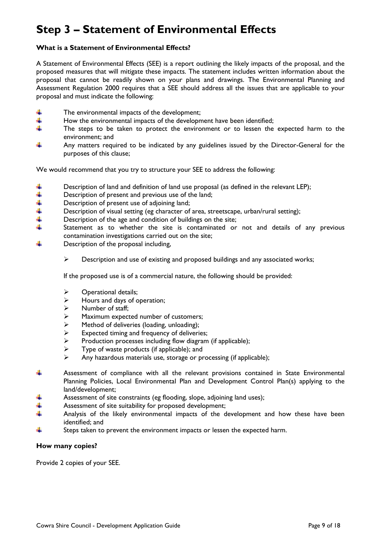## **Step 3 – Statement of Environmental Effects**

#### **What is a Statement of Environmental Effects?**

A Statement of Environmental Effects (SEE) is a report outlining the likely impacts of the proposal, and the proposed measures that will mitigate these impacts. The statement includes written information about the proposal that cannot be readily shown on your plans and drawings. The Environmental Planning and Assessment Regulation 2000 requires that a SEE should address all the issues that are applicable to your proposal and must indicate the following:

- ÷ The environmental impacts of the development;
- 4 How the environmental impacts of the development have been identified;
- 4 The steps to be taken to protect the environment or to lessen the expected harm to the environment; and
- 4 Any matters required to be indicated by any guidelines issued by the Director-General for the purposes of this clause;

We would recommend that you try to structure your SEE to address the following:

- Description of land and definition of land use proposal (as defined in the relevant LEP);
- Description of present and previous use of the land;
- Description of present use of adjoining land;
- \*\*\*\*\*\* Description of visual setting (eg character of area, streetscape, urban/rural setting);
- Description of the age and condition of buildings on the site;
- Statement as to whether the site is contaminated or not and details of any previous contamination investigations carried out on the site;
- d. Description of the proposal including,
	- $\triangleright$  Description and use of existing and proposed buildings and any associated works;

If the proposed use is of a commercial nature, the following should be provided:

- $\triangleright$  Operational details;
- $\triangleright$  Hours and days of operation;
- $\triangleright$  Number of staff;
- $\geq$  Maximum expected number of customers;<br> $\geq$  Method of deliveries (loading, unloading);
- $\triangleright$  Method of deliveries (loading, unloading);<br> $\triangleright$  Expected timing and frequency of deliveri
- $\geq$  Expected timing and frequency of deliveries;<br> $\geq$  Production processes including flow diagram
- $\triangleright$  Production processes including flow diagram (if applicable);<br> $\triangleright$  Type of waste products (if applicable); and
- $\triangleright$  Type of waste products (if applicable); and  $\triangleright$  Any hazardous materials use, storage or pr
- Any hazardous materials use, storage or processing (if applicable);
- ÷ Assessment of compliance with all the relevant provisions contained in State Environmental Planning Policies, Local Environmental Plan and Development Control Plan(s) applying to the land/development;
- Assessment of site constraints (eg flooding, slope, adjoining land uses);
- Assessment of site suitability for proposed development; d.
- Analysis of the likely environmental impacts of the development and how these have been identified; and
- ₩ Steps taken to prevent the environment impacts or lessen the expected harm.

#### **How many copies?**

Provide 2 copies of your SEE.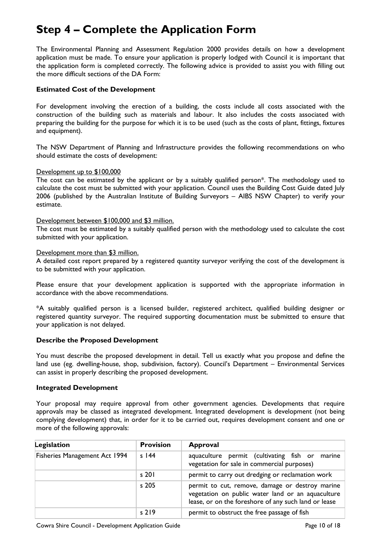## **Step 4 – Complete the Application Form**

The Environmental Planning and Assessment Regulation 2000 provides details on how a development application must be made. To ensure your application is properly lodged with Council it is important that the application form is completed correctly. The following advice is provided to assist you with filling out the more difficult sections of the DA Form:

#### **Estimated Cost of the Development**

For development involving the erection of a building, the costs include all costs associated with the construction of the building such as materials and labour. It also includes the costs associated with preparing the building for the purpose for which it is to be used (such as the costs of plant, fittings, fixtures and equipment).

The NSW Department of Planning and Infrastructure provides the following recommendations on who should estimate the costs of development:

#### Development up to \$100,000

The cost can be estimated by the applicant or by a suitably qualified person\*. The methodology used to calculate the cost must be submitted with your application. Council uses the Building Cost Guide dated July 2006 (published by the Australian Institute of Building Surveyors – AIBS NSW Chapter) to verify your estimate.

#### Development between \$100,000 and \$3 million.

The cost must be estimated by a suitably qualified person with the methodology used to calculate the cost submitted with your application.

#### Development more than \$3 million.

A detailed cost report prepared by a registered quantity surveyor verifying the cost of the development is to be submitted with your application.

Please ensure that your development application is supported with the appropriate information in accordance with the above recommendations.

\*A suitably qualified person is a licensed builder, registered architect, qualified building designer or registered quantity surveyor. The required supporting documentation must be submitted to ensure that your application is not delayed.

#### **Describe the Proposed Development**

You must describe the proposed development in detail. Tell us exactly what you propose and define the land use (eg. dwelling-house, shop, subdivision, factory). Council's Department – Environmental Services can assist in properly describing the proposed development.

#### **Integrated Development**

Your proposal may require approval from other government agencies. Developments that require approvals may be classed as integrated development. Integrated development is development (not being complying development) that, in order for it to be carried out, requires development consent and one or more of the following approvals:

| Legislation                          | <b>Provision</b> | <b>Approval</b>                                                                                                                                              |  |  |  |  |
|--------------------------------------|------------------|--------------------------------------------------------------------------------------------------------------------------------------------------------------|--|--|--|--|
| <b>Fisheries Management Act 1994</b> | $s$ 144          | aquaculture permit (cultivating fish or<br>marine<br>vegetation for sale in commercial purposes)                                                             |  |  |  |  |
|                                      | $s$ 201          | permit to carry out dredging or reclamation work                                                                                                             |  |  |  |  |
|                                      | s 205            | permit to cut, remove, damage or destroy marine<br>vegetation on public water land or an aquaculture<br>lease, or on the foreshore of any such land or lease |  |  |  |  |
|                                      | $s$ 219          | permit to obstruct the free passage of fish                                                                                                                  |  |  |  |  |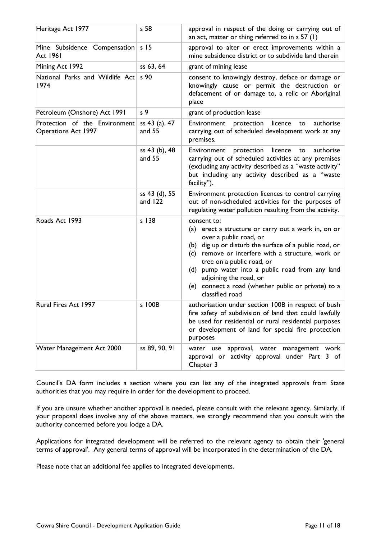| Heritage Act 1977                                           | s 58                       | approval in respect of the doing or carrying out of<br>an act, matter or thing referred to in s 57 (1)                                                                                                                                                                                                                                                                                          |  |
|-------------------------------------------------------------|----------------------------|-------------------------------------------------------------------------------------------------------------------------------------------------------------------------------------------------------------------------------------------------------------------------------------------------------------------------------------------------------------------------------------------------|--|
| Mine Subsidence Compensation<br><b>Act 1961</b>             | s <sub>15</sub>            | approval to alter or erect improvements within a<br>mine subsidence district or to subdivide land therein                                                                                                                                                                                                                                                                                       |  |
| Mining Act 1992                                             | ss 63, 64                  | grant of mining lease                                                                                                                                                                                                                                                                                                                                                                           |  |
| National Parks and Wildlife Act<br>1974                     | s 90                       | consent to knowingly destroy, deface or damage or<br>knowingly cause or permit the destruction or<br>defacement of or damage to, a relic or Aboriginal<br>place                                                                                                                                                                                                                                 |  |
| Petroleum (Onshore) Act 1991                                | s <sub>9</sub>             | grant of production lease                                                                                                                                                                                                                                                                                                                                                                       |  |
| Protection of the Environment<br><b>Operations Act 1997</b> | ss 43 (a), 47<br>and 55    | protection<br>licence<br>authorise<br>Environment<br>to<br>carrying out of scheduled development work at any<br>premises.                                                                                                                                                                                                                                                                       |  |
|                                                             | ss 43 (b), 48<br>and 55    | licence<br>authorise<br>Environment<br>protection<br>to<br>carrying out of scheduled activities at any premises<br>(excluding any activity described as a "waste activity"<br>but including any activity described as a "waste<br>facility").                                                                                                                                                   |  |
|                                                             | ss 43 (d), 55<br>and $122$ | Environment protection licences to control carrying<br>out of non-scheduled activities for the purposes of<br>regulating water pollution resulting from the activity.                                                                                                                                                                                                                           |  |
| Roads Act 1993                                              | $s$ 138                    | consent to:<br>(a) erect a structure or carry out a work in, on or<br>over a public road, or<br>(b) dig up or disturb the surface of a public road, or<br>(c) remove or interfere with a structure, work or<br>tree on a public road, or<br>(d) pump water into a public road from any land<br>adjoining the road, or<br>(e) connect a road (whether public or private) to a<br>classified road |  |
| Rural Fires Act 1997                                        | s 100B                     | authorisation under section 100B in respect of bush<br>fire safety of subdivision of land that could lawfully<br>be used for residential or rural residential purposes<br>or development of land for special fire protection<br>purposes                                                                                                                                                        |  |
| Water Management Act 2000                                   | ss 89, 90, 91              | water use approval, water management work<br>approval or activity approval under Part 3 of<br>Chapter 3                                                                                                                                                                                                                                                                                         |  |

Council's DA form includes a section where you can list any of the integrated approvals from State authorities that you may require in order for the development to proceed.

If you are unsure whether another approval is needed, please consult with the relevant agency. Similarly, if your proposal does involve any of the above matters, we strongly recommend that you consult with the authority concerned before you lodge a DA.

Applications for integrated development will be referred to the relevant agency to obtain their 'general terms of approval'. Any general terms of approval will be incorporated in the determination of the DA.

Please note that an additional fee applies to integrated developments.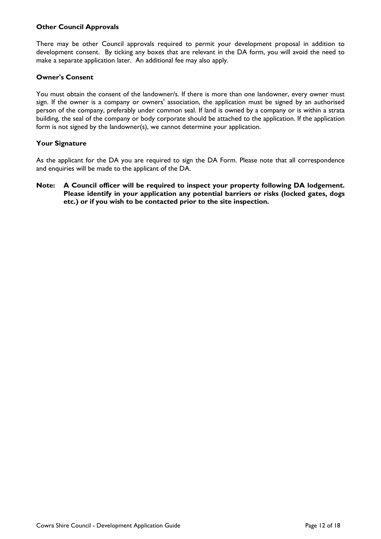#### **Other Council Approvals**

There may be other Council approvals required to permit your development proposal in addition to development consent. By ticking any boxes that are relevant in the DA form, you will avoid the need to make a separate application later. An additional fee may also apply.

#### **Owner's Consent**

You must obtain the consent of the landowner/s. If there is more than one landowner, every owner must sign. If the owner is a company or owners' association, the application must be signed by an authorised person of the company, preferably under common seal. If land is owned by a company or is within a strata building, the seal of the company or body corporate should be attached to the application. If the application form is not signed by the landowner(s), we cannot determine your application.

#### **Your Signature**

As the applicant for the DA you are required to sign the DA Form. Please note that all correspondence and enquiries will be made to the applicant of the DA.

**Note: A Council officer will be required to inspect your property following DA lodgement. Please identify in your application any potential barriers or risks (locked gates, dogs etc.) or if you wish to be contacted prior to the site inspection.**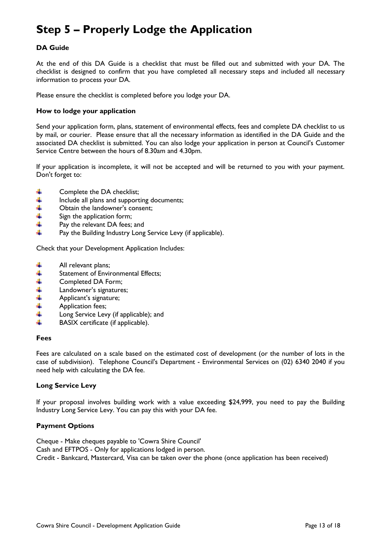## **Step 5 – Properly Lodge the Application**

#### **DA Guide**

At the end of this DA Guide is a checklist that must be filled out and submitted with your DA. The checklist is designed to confirm that you have completed all necessary steps and included all necessary information to process your DA.

Please ensure the checklist is completed before you lodge your DA.

#### **How to lodge your application**

Send your application form, plans, statement of environmental effects, fees and complete DA checklist to us by mail, or courier. Please ensure that all the necessary information as identified in the DA Guide and the associated DA checklist is submitted. You can also lodge your application in person at Council's Customer Service Centre between the hours of 8.30am and 4.30pm.

If your application is incomplete, it will not be accepted and will be returned to you with your payment. Don't forget to:

- ₩ Complete the DA checklist;
- 4 Include all plans and supporting documents;
- $\frac{1}{4}$ Obtain the landowner's consent;
- Sign the application form;
- 4 Pay the relevant DA fees; and
- d. Pay the Building Industry Long Service Levy (if applicable).

Check that your Development Application Includes:

- 4 All relevant plans;
- ++++++ Statement of Environmental Effects;
- Completed DA Form;
- Landowner's signatures;
- Applicant's signature;
- Application fees;
- Long Service Levy (if applicable); and
- d. BASIX certificate (if applicable).

#### **Fees**

Fees are calculated on a scale based on the estimated cost of development (or the number of lots in the case of subdivision). Telephone Council's Department - Environmental Services on (02) 6340 2040 if you need help with calculating the DA fee.

#### **Long Service Levy**

If your proposal involves building work with a value exceeding \$24,999, you need to pay the Building Industry Long Service Levy. You can pay this with your DA fee.

#### **Payment Options**

Cheque - Make cheques payable to 'Cowra Shire Council' Cash and EFTPOS - Only for applications lodged in person. Credit - Bankcard, Mastercard, Visa can be taken over the phone (once application has been received)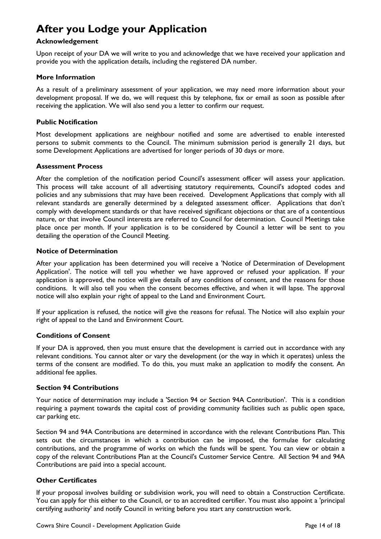## **After you Lodge your Application**

#### **Acknowledgement**

Upon receipt of your DA we will write to you and acknowledge that we have received your application and provide you with the application details, including the registered DA number.

#### **More Information**

As a result of a preliminary assessment of your application, we may need more information about your development proposal. If we do, we will request this by telephone, fax or email as soon as possible after receiving the application. We will also send you a letter to confirm our request.

#### **Public Notification**

Most development applications are neighbour notified and some are advertised to enable interested persons to submit comments to the Council. The minimum submission period is generally 21 days, but some Development Applications are advertised for longer periods of 30 days or more.

#### **Assessment Process**

After the completion of the notification period Council's assessment officer will assess your application. This process will take account of all advertising statutory requirements, Council's adopted codes and policies and any submissions that may have been received. Development Applications that comply with all relevant standards are generally determined by a delegated assessment officer. Applications that don't comply with development standards or that have received significant objections or that are of a contentious nature, or that involve Council interests are referred to Council for determination. Council Meetings take place once per month. If your application is to be considered by Council a letter will be sent to you detailing the operation of the Council Meeting.

#### **Notice of Determination**

After your application has been determined you will receive a 'Notice of Determination of Development Application'. The notice will tell you whether we have approved or refused your application. If your application is approved, the notice will give details of any conditions of consent, and the reasons for those conditions. It will also tell you when the consent becomes effective, and when it will lapse. The approval notice will also explain your right of appeal to the Land and Environment Court.

If your application is refused, the notice will give the reasons for refusal. The Notice will also explain your right of appeal to the Land and Environment Court.

#### **Conditions of Consent**

If your DA is approved, then you must ensure that the development is carried out in accordance with any relevant conditions. You cannot alter or vary the development (or the way in which it operates) unless the terms of the consent are modified. To do this, you must make an application to modify the consent. An additional fee applies.

#### **Section 94 Contributions**

Your notice of determination may include a 'Section 94 or Section 94A Contribution'. This is a condition requiring a payment towards the capital cost of providing community facilities such as public open space, car parking etc.

Section 94 and 94A Contributions are determined in accordance with the relevant Contributions Plan. This sets out the circumstances in which a contribution can be imposed, the formulae for calculating contributions, and the programme of works on which the funds will be spent. You can view or obtain a copy of the relevant Contributions Plan at the Council's Customer Service Centre. All Section 94 and 94A Contributions are paid into a special account.

#### **Other Certificates**

If your proposal involves building or subdivision work, you will need to obtain a Construction Certificate. You can apply for this either to the Council, or to an accredited certifier. You must also appoint a 'principal certifying authority' and notify Council in writing before you start any construction work.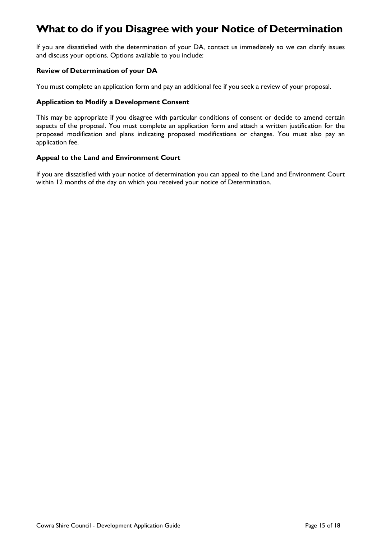## **What to do if you Disagree with your Notice of Determination**

If you are dissatisfied with the determination of your DA, contact us immediately so we can clarify issues and discuss your options. Options available to you include:

#### **Review of Determination of your DA**

You must complete an application form and pay an additional fee if you seek a review of your proposal.

#### **Application to Modify a Development Consent**

This may be appropriate if you disagree with particular conditions of consent or decide to amend certain aspects of the proposal. You must complete an application form and attach a written justification for the proposed modification and plans indicating proposed modifications or changes. You must also pay an application fee.

#### **Appeal to the Land and Environment Court**

If you are dissatisfied with your notice of determination you can appeal to the Land and Environment Court within 12 months of the day on which you received your notice of Determination.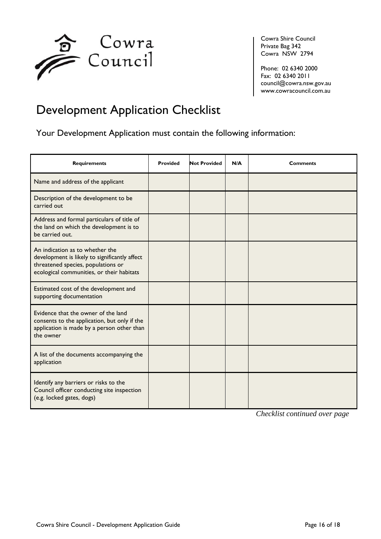

Cowra Shire Council Private Bag 342 Cowra NSW 2794

Phone: 02 6340 2000 Fax: 02 6340 2011 [council@cowra.nsw.gov.au](mailto:council@cowra.nsw.gov.au) [www.cowracouncil.com.au](http://www.cowracouncil.com.au/)

## Development Application Checklist

Your Development Application must contain the following information:

| <b>Requirements</b>                                                                                                                                                 | <b>Provided</b> | <b>Not Provided</b> | N/A | <b>Comments</b> |
|---------------------------------------------------------------------------------------------------------------------------------------------------------------------|-----------------|---------------------|-----|-----------------|
| Name and address of the applicant                                                                                                                                   |                 |                     |     |                 |
| Description of the development to be<br>carried out                                                                                                                 |                 |                     |     |                 |
| Address and formal particulars of title of<br>the land on which the development is to<br>be carried out.                                                            |                 |                     |     |                 |
| An indication as to whether the<br>development is likely to significantly affect<br>threatened species, populations or<br>ecological communities, or their habitats |                 |                     |     |                 |
| Estimated cost of the development and<br>supporting documentation                                                                                                   |                 |                     |     |                 |
| Evidence that the owner of the land<br>consents to the application, but only if the<br>application is made by a person other than<br>the owner                      |                 |                     |     |                 |
| A list of the documents accompanying the<br>application                                                                                                             |                 |                     |     |                 |
| Identify any barriers or risks to the<br>Council officer conducting site inspection<br>(e.g. locked gates, dogs)                                                    |                 |                     |     |                 |

*Checklist continued over page*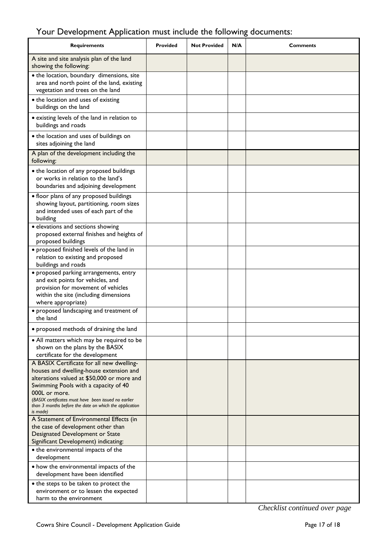## Your Development Application must include the following documents:

| <b>Requirements</b>                                                                                                                                                                                                                                                                                                       | <b>Provided</b> | <b>Not Provided</b> | N/A | <b>Comments</b> |
|---------------------------------------------------------------------------------------------------------------------------------------------------------------------------------------------------------------------------------------------------------------------------------------------------------------------------|-----------------|---------------------|-----|-----------------|
| A site and site analysis plan of the land<br>showing the following:                                                                                                                                                                                                                                                       |                 |                     |     |                 |
| • the location, boundary dimensions, site<br>area and north point of the land, existing<br>vegetation and trees on the land                                                                                                                                                                                               |                 |                     |     |                 |
| • the location and uses of existing<br>buildings on the land                                                                                                                                                                                                                                                              |                 |                     |     |                 |
| • existing levels of the land in relation to<br>buildings and roads                                                                                                                                                                                                                                                       |                 |                     |     |                 |
| • the location and uses of buildings on<br>sites adjoining the land                                                                                                                                                                                                                                                       |                 |                     |     |                 |
| A plan of the development including the<br>following:                                                                                                                                                                                                                                                                     |                 |                     |     |                 |
| • the location of any proposed buildings<br>or works in relation to the land's<br>boundaries and adjoining development                                                                                                                                                                                                    |                 |                     |     |                 |
| • floor plans of any proposed buildings<br>showing layout, partitioning, room sizes<br>and intended uses of each part of the<br>building                                                                                                                                                                                  |                 |                     |     |                 |
| · elevations and sections showing<br>proposed external finishes and heights of<br>proposed buildings                                                                                                                                                                                                                      |                 |                     |     |                 |
| • proposed finished levels of the land in<br>relation to existing and proposed<br>buildings and roads                                                                                                                                                                                                                     |                 |                     |     |                 |
| · proposed parking arrangements, entry<br>and exit points for vehicles, and<br>provision for movement of vehicles<br>within the site (including dimensions<br>where appropriate)                                                                                                                                          |                 |                     |     |                 |
| • proposed landscaping and treatment of<br>the land                                                                                                                                                                                                                                                                       |                 |                     |     |                 |
| • proposed methods of draining the land                                                                                                                                                                                                                                                                                   |                 |                     |     |                 |
| • All matters which may be required to be<br>shown on the plans by the BASIX<br>certificate for the development                                                                                                                                                                                                           |                 |                     |     |                 |
| A BASIX Certificate for all new dwelling-<br>houses and dwelling-house extension and<br>alterations valued at \$50,000 or more and<br>Swimming Pools with a capacity of 40<br>000L or more.<br>(BASIX certificates must have been issued no earlier<br>than 3 months before the date on which the application<br>is made) |                 |                     |     |                 |
| A Statement of Environmental Effects (in<br>the case of development other than<br>Designated Development or State<br>Significant Development) indicating:                                                                                                                                                                 |                 |                     |     |                 |
| • the environmental impacts of the<br>development                                                                                                                                                                                                                                                                         |                 |                     |     |                 |
| • how the environmental impacts of the<br>development have been identified                                                                                                                                                                                                                                                |                 |                     |     |                 |
| • the steps to be taken to protect the<br>environment or to lessen the expected<br>harm to the environment                                                                                                                                                                                                                |                 |                     |     |                 |

*Checklist continued over page*